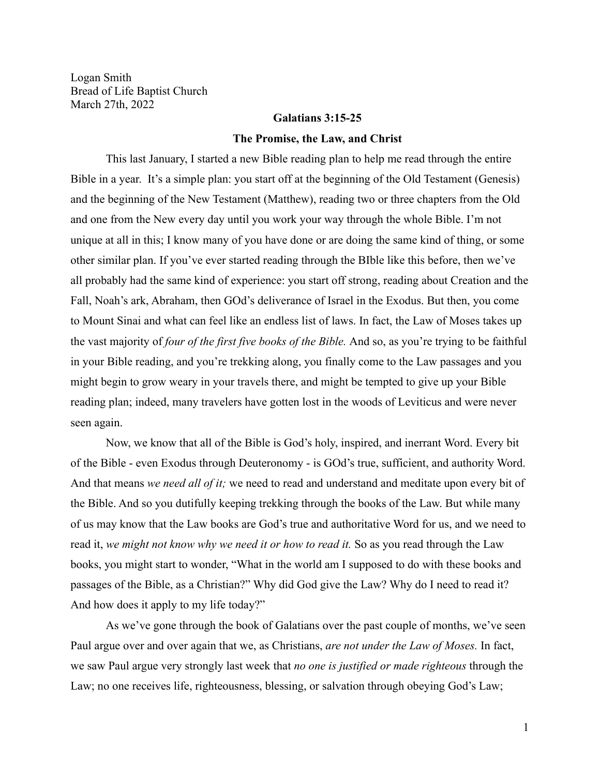Logan Smith Bread of Life Baptist Church March 27th, 2022

# **Galatians 3:15-25**

### **The Promise, the Law, and Christ**

This last January, I started a new Bible reading plan to help me read through the entire Bible in a year. It's a simple plan: you start off at the beginning of the Old Testament (Genesis) and the beginning of the New Testament (Matthew), reading two or three chapters from the Old and one from the New every day until you work your way through the whole Bible. I'm not unique at all in this; I know many of you have done or are doing the same kind of thing, or some other similar plan. If you've ever started reading through the BIble like this before, then we've all probably had the same kind of experience: you start off strong, reading about Creation and the Fall, Noah's ark, Abraham, then GOd's deliverance of Israel in the Exodus. But then, you come to Mount Sinai and what can feel like an endless list of laws. In fact, the Law of Moses takes up the vast majority of *four of the first five books of the Bible.* And so, as you're trying to be faithful in your Bible reading, and you're trekking along, you finally come to the Law passages and you might begin to grow weary in your travels there, and might be tempted to give up your Bible reading plan; indeed, many travelers have gotten lost in the woods of Leviticus and were never seen again.

Now, we know that all of the Bible is God's holy, inspired, and inerrant Word. Every bit of the Bible - even Exodus through Deuteronomy - is GOd's true, sufficient, and authority Word. And that means *we need all of it;* we need to read and understand and meditate upon every bit of the Bible. And so you dutifully keeping trekking through the books of the Law. But while many of us may know that the Law books are God's true and authoritative Word for us, and we need to read it, *we might not know why we need it or how to read it.* So as you read through the Law books, you might start to wonder, "What in the world am I supposed to do with these books and passages of the Bible, as a Christian?" Why did God give the Law? Why do I need to read it? And how does it apply to my life today?"

As we've gone through the book of Galatians over the past couple of months, we've seen Paul argue over and over again that we, as Christians, *are not under the Law of Moses.* In fact, we saw Paul argue very strongly last week that *no one is justified or made righteous* through the Law; no one receives life, righteousness, blessing, or salvation through obeying God's Law;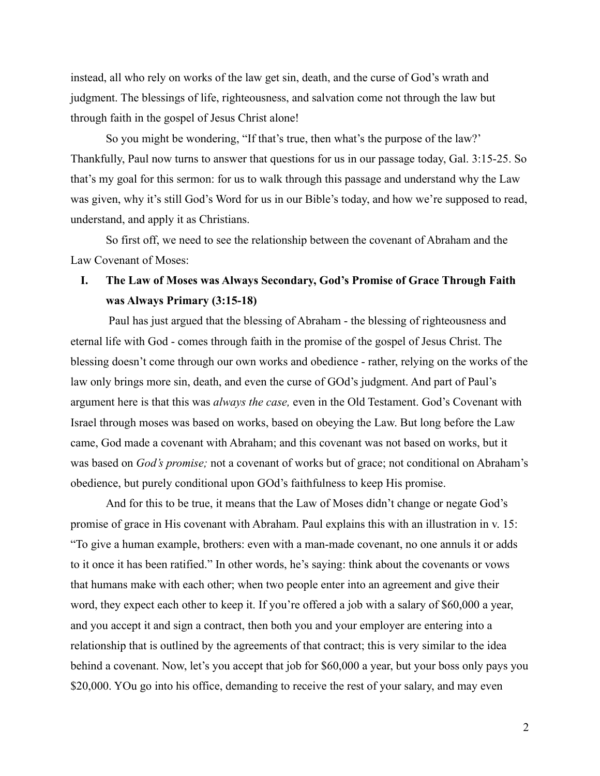instead, all who rely on works of the law get sin, death, and the curse of God's wrath and judgment. The blessings of life, righteousness, and salvation come not through the law but through faith in the gospel of Jesus Christ alone!

So you might be wondering, "If that's true, then what's the purpose of the law?' Thankfully, Paul now turns to answer that questions for us in our passage today, Gal. 3:15-25. So that's my goal for this sermon: for us to walk through this passage and understand why the Law was given, why it's still God's Word for us in our Bible's today, and how we're supposed to read, understand, and apply it as Christians.

So first off, we need to see the relationship between the covenant of Abraham and the Law Covenant of Moses:

# **I. The Law of Moses was Always Secondary, God's Promise of Grace Through Faith was Always Primary (3:15-18)**

Paul has just argued that the blessing of Abraham - the blessing of righteousness and eternal life with God - comes through faith in the promise of the gospel of Jesus Christ. The blessing doesn't come through our own works and obedience - rather, relying on the works of the law only brings more sin, death, and even the curse of GOd's judgment. And part of Paul's argument here is that this was *always the case,* even in the Old Testament. God's Covenant with Israel through moses was based on works, based on obeying the Law. But long before the Law came, God made a covenant with Abraham; and this covenant was not based on works, but it was based on *God's promise;* not a covenant of works but of grace; not conditional on Abraham's obedience, but purely conditional upon GOd's faithfulness to keep His promise.

And for this to be true, it means that the Law of Moses didn't change or negate God's promise of grace in His covenant with Abraham. Paul explains this with an illustration in v. 15: "To give a human example, brothers: even with a man-made covenant, no one annuls it or adds to it once it has been ratified." In other words, he's saying: think about the covenants or vows that humans make with each other; when two people enter into an agreement and give their word, they expect each other to keep it. If you're offered a job with a salary of \$60,000 a year, and you accept it and sign a contract, then both you and your employer are entering into a relationship that is outlined by the agreements of that contract; this is very similar to the idea behind a covenant. Now, let's you accept that job for \$60,000 a year, but your boss only pays you \$20,000. YOu go into his office, demanding to receive the rest of your salary, and may even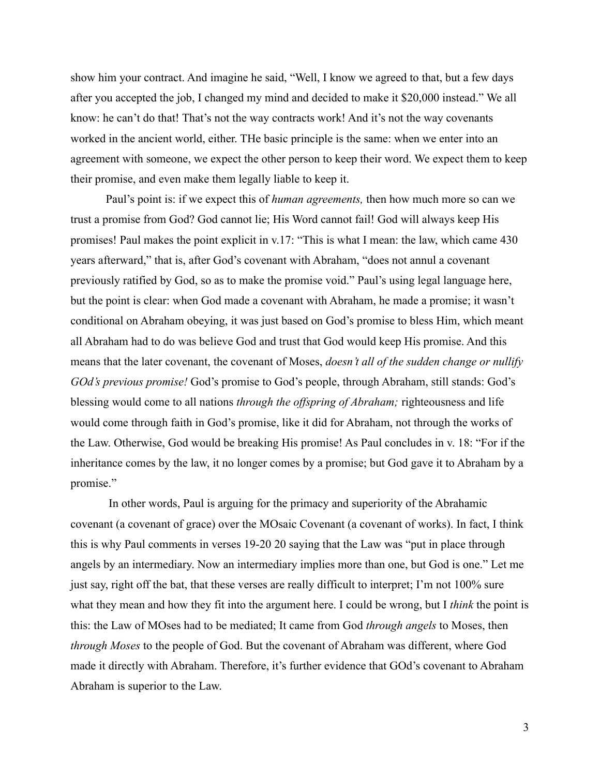show him your contract. And imagine he said, "Well, I know we agreed to that, but a few days after you accepted the job, I changed my mind and decided to make it \$20,000 instead." We all know: he can't do that! That's not the way contracts work! And it's not the way covenants worked in the ancient world, either. THe basic principle is the same: when we enter into an agreement with someone, we expect the other person to keep their word. We expect them to keep their promise, and even make them legally liable to keep it.

Paul's point is: if we expect this of *human agreements,* then how much more so can we trust a promise from God? God cannot lie; His Word cannot fail! God will always keep His promises! Paul makes the point explicit in v.17: "This is what I mean: the law, which came 430 years afterward," that is, after God's covenant with Abraham, "does not annul a covenant previously ratified by God, so as to make the promise void." Paul's using legal language here, but the point is clear: when God made a covenant with Abraham, he made a promise; it wasn't conditional on Abraham obeying, it was just based on God's promise to bless Him, which meant all Abraham had to do was believe God and trust that God would keep His promise. And this means that the later covenant, the covenant of Moses, *doesn't all of the sudden change or nullify GOd's previous promise!* God's promise to God's people, through Abraham, still stands: God's blessing would come to all nations *through the offspring of Abraham;* righteousness and life would come through faith in God's promise, like it did for Abraham, not through the works of the Law. Otherwise, God would be breaking His promise! As Paul concludes in v. 18: "For if the inheritance comes by the law, it no longer comes by a promise; but God gave it to Abraham by a promise."

In other words, Paul is arguing for the primacy and superiority of the Abrahamic covenant (a covenant of grace) over the MOsaic Covenant (a covenant of works). In fact, I think this is why Paul comments in verses 19-20 20 saying that the Law was "put in place through angels by an intermediary. Now an intermediary implies more than one, but God is one." Let me just say, right off the bat, that these verses are really difficult to interpret; I'm not 100% sure what they mean and how they fit into the argument here. I could be wrong, but I *think* the point is this: the Law of MOses had to be mediated; It came from God *through angels* to Moses, then *through Moses* to the people of God. But the covenant of Abraham was different, where God made it directly with Abraham. Therefore, it's further evidence that GOd's covenant to Abraham Abraham is superior to the Law.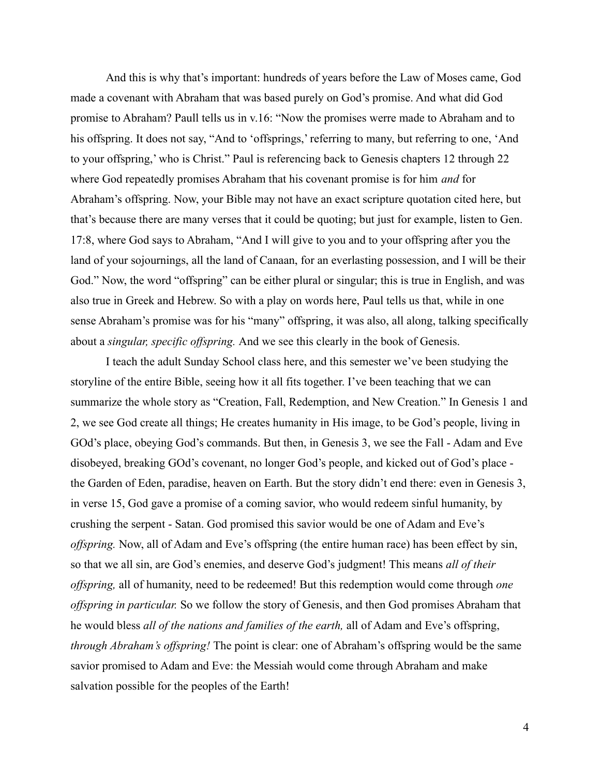And this is why that's important: hundreds of years before the Law of Moses came, God made a covenant with Abraham that was based purely on God's promise. And what did God promise to Abraham? Paull tells us in v.16: "Now the promises werre made to Abraham and to his offspring. It does not say, "And to 'offsprings,' referring to many, but referring to one, 'And to your offspring,' who is Christ." Paul is referencing back to Genesis chapters 12 through 22 where God repeatedly promises Abraham that his covenant promise is for him *and* for Abraham's offspring. Now, your Bible may not have an exact scripture quotation cited here, but that's because there are many verses that it could be quoting; but just for example, listen to Gen. 17:8, where God says to Abraham, "And I will give to you and to your offspring after you the land of your sojournings, all the land of Canaan, for an everlasting possession, and I will be their God." Now, the word "offspring" can be either plural or singular; this is true in English, and was also true in Greek and Hebrew. So with a play on words here, Paul tells us that, while in one sense Abraham's promise was for his "many" offspring, it was also, all along, talking specifically about a *singular, specific offspring.* And we see this clearly in the book of Genesis.

I teach the adult Sunday School class here, and this semester we've been studying the storyline of the entire Bible, seeing how it all fits together. I've been teaching that we can summarize the whole story as "Creation, Fall, Redemption, and New Creation." In Genesis 1 and 2, we see God create all things; He creates humanity in His image, to be God's people, living in GOd's place, obeying God's commands. But then, in Genesis 3, we see the Fall - Adam and Eve disobeyed, breaking GOd's covenant, no longer God's people, and kicked out of God's place the Garden of Eden, paradise, heaven on Earth. But the story didn't end there: even in Genesis 3, in verse 15, God gave a promise of a coming savior, who would redeem sinful humanity, by crushing the serpent - Satan. God promised this savior would be one of Adam and Eve's *offspring.* Now, all of Adam and Eve's offspring (the entire human race) has been effect by sin, so that we all sin, are God's enemies, and deserve God's judgment! This means *all of their offspring,* all of humanity, need to be redeemed! But this redemption would come through *one offspring in particular.* So we follow the story of Genesis, and then God promises Abraham that he would bless *all of the nations and families of the earth,* all of Adam and Eve's offspring, *through Abraham's offspring!* The point is clear: one of Abraham's offspring would be the same savior promised to Adam and Eve: the Messiah would come through Abraham and make salvation possible for the peoples of the Earth!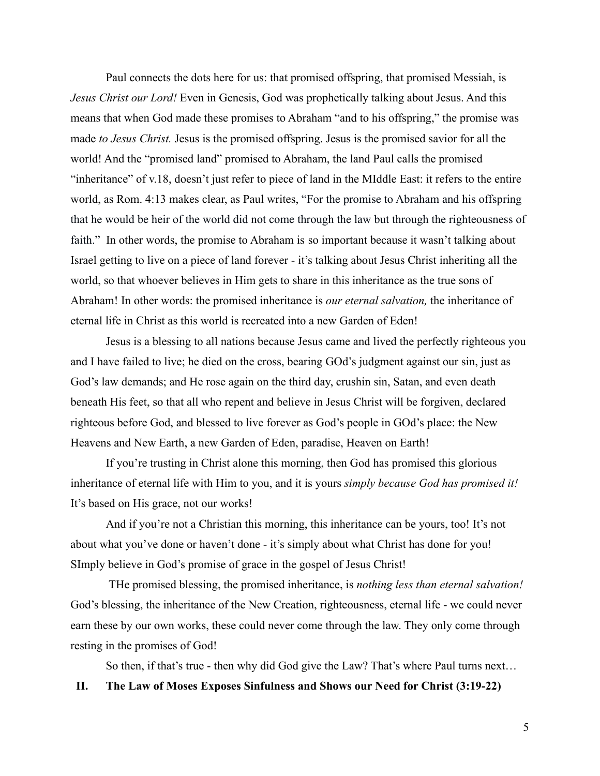Paul connects the dots here for us: that promised offspring, that promised Messiah, is *Jesus Christ our Lord!* Even in Genesis, God was prophetically talking about Jesus. And this means that when God made these promises to Abraham "and to his offspring," the promise was made *to Jesus Christ.* Jesus is the promised offspring. Jesus is the promised savior for all the world! And the "promised land" promised to Abraham, the land Paul calls the promised "inheritance" of v.18, doesn't just refer to piece of land in the MIddle East: it refers to the entire world, as Rom. 4:13 makes clear, as Paul writes, "For the promise to Abraham and his offspring that he would be heir of the world did not come through the law but through the righteousness of faith." In other words, the promise to Abraham is so important because it wasn't talking about Israel getting to live on a piece of land forever - it's talking about Jesus Christ inheriting all the world, so that whoever believes in Him gets to share in this inheritance as the true sons of Abraham! In other words: the promised inheritance is *our eternal salvation,* the inheritance of eternal life in Christ as this world is recreated into a new Garden of Eden!

Jesus is a blessing to all nations because Jesus came and lived the perfectly righteous you and I have failed to live; he died on the cross, bearing GOd's judgment against our sin, just as God's law demands; and He rose again on the third day, crushin sin, Satan, and even death beneath His feet, so that all who repent and believe in Jesus Christ will be forgiven, declared righteous before God, and blessed to live forever as God's people in GOd's place: the New Heavens and New Earth, a new Garden of Eden, paradise, Heaven on Earth!

If you're trusting in Christ alone this morning, then God has promised this glorious inheritance of eternal life with Him to you, and it is yours *simply because God has promised it!* It's based on His grace, not our works!

And if you're not a Christian this morning, this inheritance can be yours, too! It's not about what you've done or haven't done - it's simply about what Christ has done for you! SImply believe in God's promise of grace in the gospel of Jesus Christ!

THe promised blessing, the promised inheritance, is *nothing less than eternal salvation!* God's blessing, the inheritance of the New Creation, righteousness, eternal life - we could never earn these by our own works, these could never come through the law. They only come through resting in the promises of God!

So then, if that's true - then why did God give the Law? That's where Paul turns next…

## **II. The Law of Moses Exposes Sinfulness and Shows our Need for Christ (3:19-22)**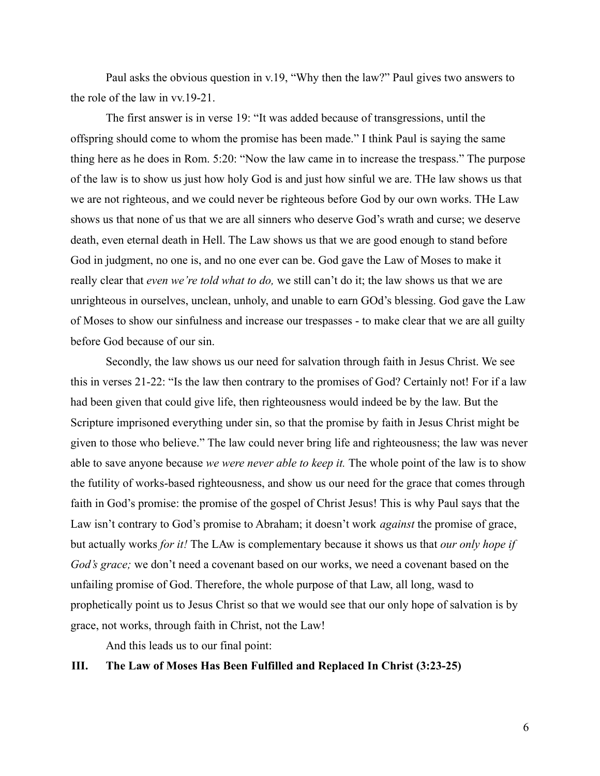Paul asks the obvious question in v.19, "Why then the law?" Paul gives two answers to the role of the law in vv.19-21.

The first answer is in verse 19: "It was added because of transgressions, until the offspring should come to whom the promise has been made." I think Paul is saying the same thing here as he does in Rom. 5:20: "Now the law came in to increase the trespass." The purpose of the law is to show us just how holy God is and just how sinful we are. THe law shows us that we are not righteous, and we could never be righteous before God by our own works. THe Law shows us that none of us that we are all sinners who deserve God's wrath and curse; we deserve death, even eternal death in Hell. The Law shows us that we are good enough to stand before God in judgment, no one is, and no one ever can be. God gave the Law of Moses to make it really clear that *even we're told what to do,* we still can't do it; the law shows us that we are unrighteous in ourselves, unclean, unholy, and unable to earn GOd's blessing. God gave the Law of Moses to show our sinfulness and increase our trespasses - to make clear that we are all guilty before God because of our sin.

Secondly, the law shows us our need for salvation through faith in Jesus Christ. We see this in verses 21-22: "Is the law then contrary to the promises of God? Certainly not! For if a law had been given that could give life, then righteousness would indeed be by the law. But the Scripture imprisoned everything under sin, so that the promise by faith in Jesus Christ might be given to those who believe." The law could never bring life and righteousness; the law was never able to save anyone because *we were never able to keep it.* The whole point of the law is to show the futility of works-based righteousness, and show us our need for the grace that comes through faith in God's promise: the promise of the gospel of Christ Jesus! This is why Paul says that the Law isn't contrary to God's promise to Abraham; it doesn't work *against* the promise of grace, but actually works *for it!* The LAw is complementary because it shows us that *our only hope if God's grace;* we don't need a covenant based on our works, we need a covenant based on the unfailing promise of God. Therefore, the whole purpose of that Law, all long, wasd to prophetically point us to Jesus Christ so that we would see that our only hope of salvation is by grace, not works, through faith in Christ, not the Law!

And this leads us to our final point:

# **III. The Law of Moses Has Been Fulfilled and Replaced In Christ (3:23-25)**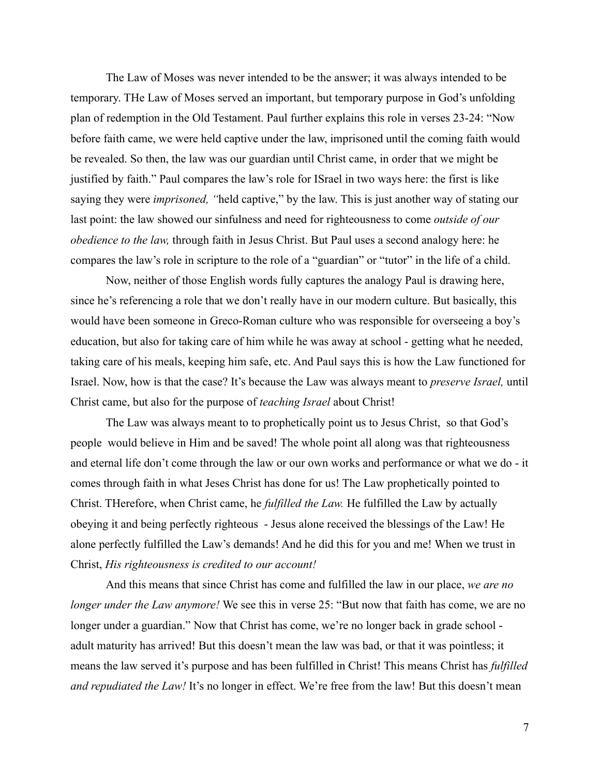The Law of Moses was never intended to be the answer; it was always intended to be temporary. THe Law of Moses served an important, but temporary purpose in God's unfolding plan of redemption in the Old Testament. Paul further explains this role in verses 23-24: "Now before faith came, we were held captive under the law, imprisoned until the coming faith would be revealed. So then, the law was our guardian until Christ came, in order that we might be justified by faith." Paul compares the law's role for ISrael in two ways here: the first is like saying they were *imprisoned, "*held captive," by the law. This is just another way of stating our last point: the law showed our sinfulness and need for righteousness to come *outside of our obedience to the law,* through faith in Jesus Christ. But Paul uses a second analogy here: he compares the law's role in scripture to the role of a "guardian" or "tutor" in the life of a child.

Now, neither of those English words fully captures the analogy Paul is drawing here, since he's referencing a role that we don't really have in our modern culture. But basically, this would have been someone in Greco-Roman culture who was responsible for overseeing a boy's education, but also for taking care of him while he was away at school - getting what he needed, taking care of his meals, keeping him safe, etc. And Paul says this is how the Law functioned for Israel. Now, how is that the case? It's because the Law was always meant to *preserve Israel,* until Christ came, but also for the purpose of *teaching Israel* about Christ!

The Law was always meant to to prophetically point us to Jesus Christ, so that God's people would believe in Him and be saved! The whole point all along was that righteousness and eternal life don't come through the law or our own works and performance or what we do - it comes through faith in what Jeses Christ has done for us! The Law prophetically pointed to Christ. THerefore, when Christ came, he *fulfilled the Law.* He fulfilled the Law by actually obeying it and being perfectly righteous - Jesus alone received the blessings of the Law! He alone perfectly fulfilled the Law's demands! And he did this for you and me! When we trust in Christ, *His righteousness is credited to our account!*

And this means that since Christ has come and fulfilled the law in our place, *we are no longer under the Law anymore!* We see this in verse 25: "But now that faith has come, we are no longer under a guardian." Now that Christ has come, we're no longer back in grade school adult maturity has arrived! But this doesn't mean the law was bad, or that it was pointless; it means the law served it's purpose and has been fulfilled in Christ! This means Christ has *fulfilled and repudiated the Law!* It's no longer in effect. We're free from the law! But this doesn't mean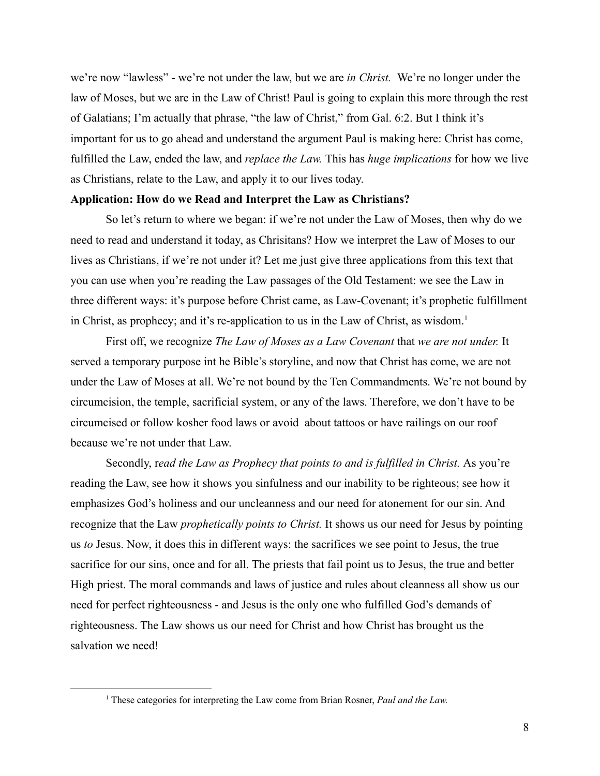we're now "lawless" - we're not under the law, but we are *in Christ.* We're no longer under the law of Moses, but we are in the Law of Christ! Paul is going to explain this more through the rest of Galatians; I'm actually that phrase, "the law of Christ," from Gal. 6:2. But I think it's important for us to go ahead and understand the argument Paul is making here: Christ has come, fulfilled the Law, ended the law, and *replace the Law.* This has *huge implications* for how we live as Christians, relate to the Law, and apply it to our lives today.

### **Application: How do we Read and Interpret the Law as Christians?**

So let's return to where we began: if we're not under the Law of Moses, then why do we need to read and understand it today, as Chrisitans? How we interpret the Law of Moses to our lives as Christians, if we're not under it? Let me just give three applications from this text that you can use when you're reading the Law passages of the Old Testament: we see the Law in three different ways: it's purpose before Christ came, as Law-Covenant; it's prophetic fulfillment in Christ, as prophecy; and it's re-application to us in the Law of Christ, as wisdom.<sup>1</sup>

First off, we recognize *The Law of Moses as a Law Covenant* that *we are not under.* It served a temporary purpose int he Bible's storyline, and now that Christ has come, we are not under the Law of Moses at all. We're not bound by the Ten Commandments. We're not bound by circumcision, the temple, sacrificial system, or any of the laws. Therefore, we don't have to be circumcised or follow kosher food laws or avoid about tattoos or have railings on our roof because we're not under that Law.

Secondly, r*ead the Law as Prophecy that points to and is fulfilled in Christ.* As you're reading the Law, see how it shows you sinfulness and our inability to be righteous; see how it emphasizes God's holiness and our uncleanness and our need for atonement for our sin. And recognize that the Law *prophetically points to Christ.* It shows us our need for Jesus by pointing us *to* Jesus. Now, it does this in different ways: the sacrifices we see point to Jesus, the true sacrifice for our sins, once and for all. The priests that fail point us to Jesus, the true and better High priest. The moral commands and laws of justice and rules about cleanness all show us our need for perfect righteousness - and Jesus is the only one who fulfilled God's demands of righteousness. The Law shows us our need for Christ and how Christ has brought us the salvation we need!

<sup>1</sup> These categories for interpreting the Law come from Brian Rosner, *Paul and the Law.*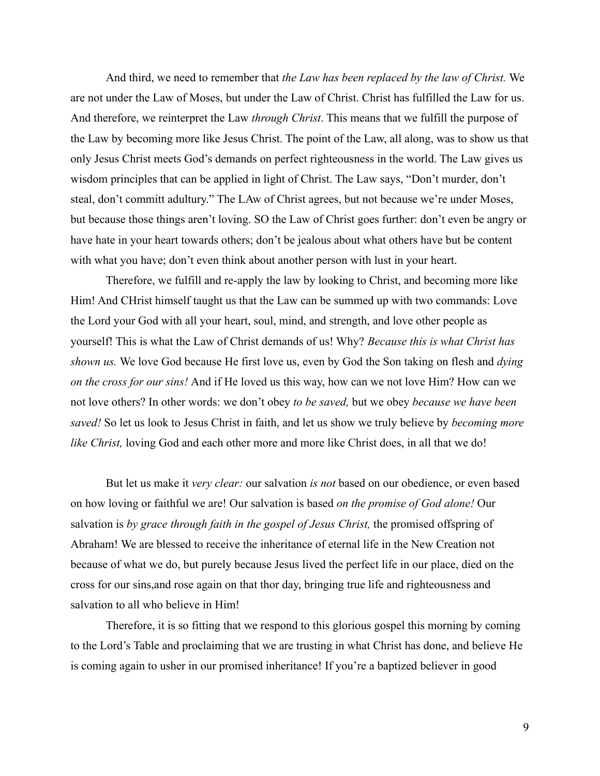And third, we need to remember that *the Law has been replaced by the law of Christ.* We are not under the Law of Moses, but under the Law of Christ. Christ has fulfilled the Law for us. And therefore, we reinterpret the Law *through Christ*. This means that we fulfill the purpose of the Law by becoming more like Jesus Christ. The point of the Law, all along, was to show us that only Jesus Christ meets God's demands on perfect righteousness in the world. The Law gives us wisdom principles that can be applied in light of Christ. The Law says, "Don't murder, don't steal, don't committ adultury." The LAw of Christ agrees, but not because we're under Moses, but because those things aren't loving. SO the Law of Christ goes further: don't even be angry or have hate in your heart towards others; don't be jealous about what others have but be content with what you have; don't even think about another person with lust in your heart.

Therefore, we fulfill and re-apply the law by looking to Christ, and becoming more like Him! And CHrist himself taught us that the Law can be summed up with two commands: Love the Lord your God with all your heart, soul, mind, and strength, and love other people as yourself! This is what the Law of Christ demands of us! Why? *Because this is what Christ has shown us.* We love God because He first love us, even by God the Son taking on flesh and *dying on the cross for our sins!* And if He loved us this way, how can we not love Him? How can we not love others? In other words: we don't obey *to be saved,* but we obey *because we have been saved!* So let us look to Jesus Christ in faith, and let us show we truly believe by *becoming more like Christ,* loving God and each other more and more like Christ does, in all that we do!

But let us make it *very clear:* our salvation *is not* based on our obedience, or even based on how loving or faithful we are! Our salvation is based *on the promise of God alone!* Our salvation is *by grace through faith in the gospel of Jesus Christ,* the promised offspring of Abraham! We are blessed to receive the inheritance of eternal life in the New Creation not because of what we do, but purely because Jesus lived the perfect life in our place, died on the cross for our sins,and rose again on that thor day, bringing true life and righteousness and salvation to all who believe in Him!

Therefore, it is so fitting that we respond to this glorious gospel this morning by coming to the Lord's Table and proclaiming that we are trusting in what Christ has done, and believe He is coming again to usher in our promised inheritance! If you're a baptized believer in good